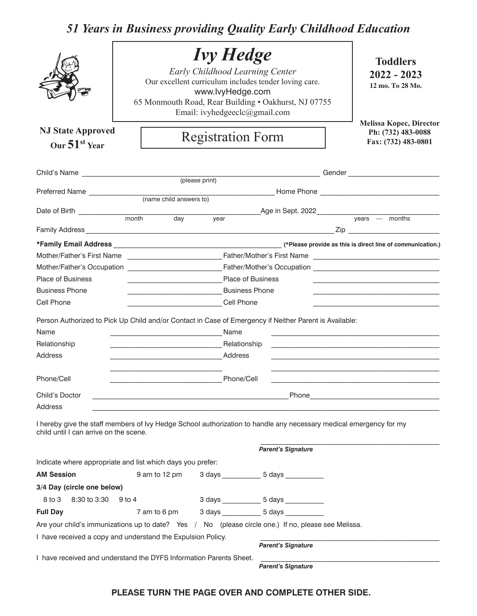## *51 Years in Business providing Quality Early Childhood Education*

| <b>NJ State Approved</b>                                                                                                                                     |        |                                                                                                                      |      | <b>Ivy Hedge</b><br>www.lvyHedge.com<br>Email: ivyhedgeeclc@gmail.com<br><b>Registration Form</b> | Early Childhood Learning Center<br>Our excellent curriculum includes tender loving care.<br>65 Monmouth Road, Rear Building . Oakhurst, NJ 07755 |  | <b>Toddlers</b><br>$2022 - 2023$<br>12 mo. To 28 Mo.<br>Melissa Kopec, Director<br>Ph: (732) 483-0088                                                                                                                          |  |  |
|--------------------------------------------------------------------------------------------------------------------------------------------------------------|--------|----------------------------------------------------------------------------------------------------------------------|------|---------------------------------------------------------------------------------------------------|--------------------------------------------------------------------------------------------------------------------------------------------------|--|--------------------------------------------------------------------------------------------------------------------------------------------------------------------------------------------------------------------------------|--|--|
| Our $51st$ Year                                                                                                                                              |        |                                                                                                                      |      | Fax: (732) 483-0801                                                                               |                                                                                                                                                  |  |                                                                                                                                                                                                                                |  |  |
|                                                                                                                                                              |        |                                                                                                                      |      |                                                                                                   |                                                                                                                                                  |  |                                                                                                                                                                                                                                |  |  |
|                                                                                                                                                              |        |                                                                                                                      |      |                                                                                                   |                                                                                                                                                  |  |                                                                                                                                                                                                                                |  |  |
|                                                                                                                                                              |        |                                                                                                                      |      |                                                                                                   |                                                                                                                                                  |  |                                                                                                                                                                                                                                |  |  |
|                                                                                                                                                              |        |                                                                                                                      |      |                                                                                                   |                                                                                                                                                  |  |                                                                                                                                                                                                                                |  |  |
|                                                                                                                                                              |        |                                                                                                                      |      |                                                                                                   |                                                                                                                                                  |  |                                                                                                                                                                                                                                |  |  |
|                                                                                                                                                              |        |                                                                                                                      | year |                                                                                                   |                                                                                                                                                  |  |                                                                                                                                                                                                                                |  |  |
|                                                                                                                                                              |        |                                                                                                                      |      |                                                                                                   |                                                                                                                                                  |  |                                                                                                                                                                                                                                |  |  |
|                                                                                                                                                              |        |                                                                                                                      |      |                                                                                                   |                                                                                                                                                  |  |                                                                                                                                                                                                                                |  |  |
|                                                                                                                                                              |        |                                                                                                                      |      |                                                                                                   |                                                                                                                                                  |  |                                                                                                                                                                                                                                |  |  |
|                                                                                                                                                              |        |                                                                                                                      |      |                                                                                                   |                                                                                                                                                  |  | Mother/Father's Occupation entertainment of Father/Mother's Occupation entertainment of the Control of Tather/Mother's Occupation entertainment of the Control of Tather/Mother's Occupation entertainment of the Control of T |  |  |
| <b>Place of Business</b>                                                                                                                                     |        | <u> 1980 - Johann Barbara, martin da basar a shekara tsa 1980 - An tsa 1980 - An tsa 1980 - An tsa 1980 - An tsa</u> |      | <b>Place of Business</b>                                                                          |                                                                                                                                                  |  |                                                                                                                                                                                                                                |  |  |
| <b>Business Phone</b>                                                                                                                                        |        |                                                                                                                      |      | <b>Business Phone</b>                                                                             |                                                                                                                                                  |  |                                                                                                                                                                                                                                |  |  |
| Cell Phone                                                                                                                                                   |        |                                                                                                                      |      | Cell Phone                                                                                        |                                                                                                                                                  |  |                                                                                                                                                                                                                                |  |  |
| Person Authorized to Pick Up Child and/or Contact in Case of Emergency if Neither Parent is Available:                                                       |        |                                                                                                                      |      |                                                                                                   |                                                                                                                                                  |  |                                                                                                                                                                                                                                |  |  |
| Name                                                                                                                                                         |        |                                                                                                                      |      | Name                                                                                              |                                                                                                                                                  |  |                                                                                                                                                                                                                                |  |  |
| Relationship                                                                                                                                                 |        |                                                                                                                      |      |                                                                                                   |                                                                                                                                                  |  |                                                                                                                                                                                                                                |  |  |
| <b>Address</b>                                                                                                                                               |        | <b>Marshall Address</b> Address                                                                                      |      |                                                                                                   |                                                                                                                                                  |  |                                                                                                                                                                                                                                |  |  |
| Phone/Cell                                                                                                                                                   |        |                                                                                                                      |      | Phone/Cell                                                                                        |                                                                                                                                                  |  |                                                                                                                                                                                                                                |  |  |
|                                                                                                                                                              |        |                                                                                                                      |      |                                                                                                   |                                                                                                                                                  |  |                                                                                                                                                                                                                                |  |  |
| Child's Doctor<br>Address                                                                                                                                    |        |                                                                                                                      |      |                                                                                                   | Phone                                                                                                                                            |  |                                                                                                                                                                                                                                |  |  |
| I hereby give the staff members of Ivy Hedge School authorization to handle any necessary medical emergency for my<br>child until I can arrive on the scene. |        |                                                                                                                      |      |                                                                                                   | <b>Parent's Signature</b>                                                                                                                        |  |                                                                                                                                                                                                                                |  |  |
| Indicate where appropriate and list which days you prefer:                                                                                                   |        |                                                                                                                      |      |                                                                                                   |                                                                                                                                                  |  |                                                                                                                                                                                                                                |  |  |
| <b>AM Session</b>                                                                                                                                            |        | 9 am to 12 pm                                                                                                        |      |                                                                                                   | 3 days ___________ 5 days __________                                                                                                             |  |                                                                                                                                                                                                                                |  |  |
| 3/4 Day (circle one below)                                                                                                                                   |        |                                                                                                                      |      |                                                                                                   |                                                                                                                                                  |  |                                                                                                                                                                                                                                |  |  |
| 8 to 3<br>8:30 to 3:30                                                                                                                                       | 9 to 4 |                                                                                                                      |      |                                                                                                   | 3 days _____________5 days ____________                                                                                                          |  |                                                                                                                                                                                                                                |  |  |
| <b>Full Day</b>                                                                                                                                              |        | 7 am to 6 pm                                                                                                         |      |                                                                                                   | 3 days ________________ 5 days ______________                                                                                                    |  |                                                                                                                                                                                                                                |  |  |
| Are your child's immunizations up to date? Yes / No (please circle one.) If no, please see Melissa.                                                          |        |                                                                                                                      |      |                                                                                                   |                                                                                                                                                  |  |                                                                                                                                                                                                                                |  |  |
| I have received a copy and understand the Expulsion Policy.                                                                                                  |        |                                                                                                                      |      |                                                                                                   |                                                                                                                                                  |  |                                                                                                                                                                                                                                |  |  |
|                                                                                                                                                              |        |                                                                                                                      |      |                                                                                                   | <b>Parent's Signature</b>                                                                                                                        |  |                                                                                                                                                                                                                                |  |  |
| I have received and understand the DYFS Information Parents Sheet.                                                                                           |        |                                                                                                                      |      |                                                                                                   | <b>Parent's Signature</b>                                                                                                                        |  |                                                                                                                                                                                                                                |  |  |

## **PLEASE TURN THE PAGE OVER AND COMPLETE OTHER SIDE.**